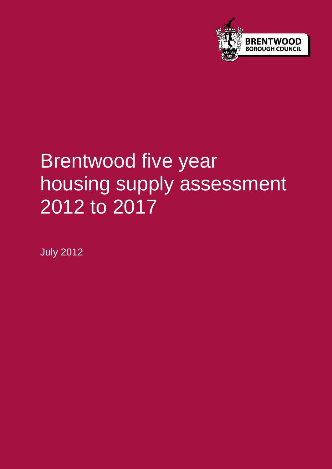

# Brentwood five year housing supply assessment 2012 to 2017

July 2012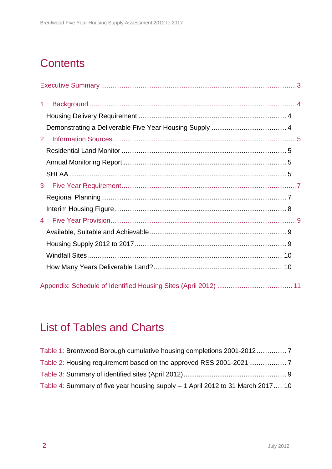## **Contents**

| $\mathbf{1}$   |  |
|----------------|--|
|                |  |
|                |  |
| $\overline{2}$ |  |
|                |  |
|                |  |
|                |  |
| 3              |  |
|                |  |
|                |  |
| $\overline{4}$ |  |
|                |  |
|                |  |
|                |  |
|                |  |
|                |  |

### List of Tables and Charts

| Table 4: Summary of five year housing supply - 1 April 2012 to 31 March 2017 10 |  |
|---------------------------------------------------------------------------------|--|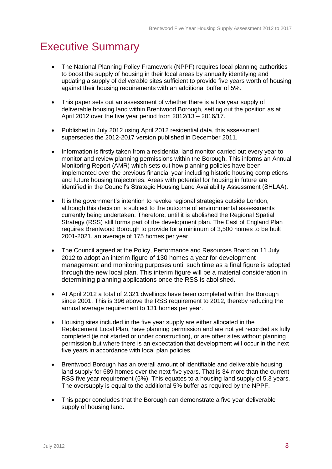### <span id="page-2-0"></span>Executive Summary

- The National Planning Policy Framework (NPPF) requires local planning authorities to boost the supply of housing in their local areas by annually identifying and updating a supply of deliverable sites sufficient to provide five years worth of housing against their housing requirements with an additional buffer of 5%.
- This paper sets out an assessment of whether there is a five year supply of deliverable housing land within Brentwood Borough, setting out the position as at April 2012 over the five year period from 2012/13 – 2016/17.
- Published in July 2012 using April 2012 residential data, this assessment supersedes the 2012-2017 version published in December 2011.
- Information is firstly taken from a residential land monitor carried out every year to monitor and review planning permissions within the Borough. This informs an Annual Monitoring Report (AMR) which sets out how planning policies have been implemented over the previous financial year including historic housing completions and future housing trajectories. Areas with potential for housing in future are identified in the Council's Strategic Housing Land Availability Assessment (SHLAA).
- It is the government's intention to revoke regional strategies outside London, although this decision is subject to the outcome of environmental assessments currently being undertaken. Therefore, until it is abolished the Regional Spatial Strategy (RSS) still forms part of the development plan. The East of England Plan requires Brentwood Borough to provide for a minimum of 3,500 homes to be built 2001-2021, an average of 175 homes per year.
- The Council agreed at the Policy, Performance and Resources Board on 11 July 2012 to adopt an interim figure of 130 homes a year for development management and monitoring purposes until such time as a final figure is adopted through the new local plan. This interim figure will be a material consideration in determining planning applications once the RSS is abolished.
- At April 2012 a total of 2,321 dwellings have been completed within the Borough since 2001. This is 396 above the RSS requirement to 2012, thereby reducing the annual average requirement to 131 homes per year.
- Housing sites included in the five year supply are either allocated in the Replacement Local Plan, have planning permission and are not yet recorded as fully completed (ie not started or under construction), or are other sites without planning permission but where there is an expectation that development will occur in the next five years in accordance with local plan policies.
- Brentwood Borough has an overall amount of identifiable and deliverable housing land supply for 689 homes over the next five years. That is 34 more than the current RSS five year requirement (5%). This equates to a housing land supply of 5.3 years. The oversupply is equal to the additional 5% buffer as required by the NPPF.
- This paper concludes that the Borough can demonstrate a five year deliverable supply of housing land.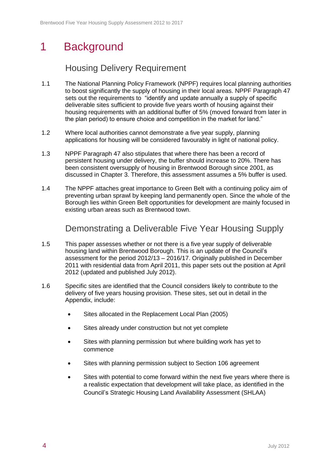### <span id="page-3-0"></span>1 Background

#### Housing Delivery Requirement

- <span id="page-3-1"></span>1.1 The National Planning Policy Framework (NPPF) requires local planning authorities to boost significantly the supply of housing in their local areas. NPPF Paragraph 47 sets out the requirements to "identify and update annually a supply of specific deliverable sites sufficient to provide five years worth of housing against their housing requirements with an additional buffer of 5% (moved forward from later in the plan period) to ensure choice and competition in the market for land."
- 1.2 Where local authorities cannot demonstrate a five year supply, planning applications for housing will be considered favourably in light of national policy.
- 1.3 NPPF Paragraph 47 also stipulates that where there has been a record of persistent housing under delivery, the buffer should increase to 20%. There has been consistent oversupply of housing in Brentwood Borough since 2001, as discussed in Chapter 3. Therefore, this assessment assumes a 5% buffer is used.
- 1.4 The NPPF attaches great importance to Green Belt with a continuing policy aim of preventing urban sprawl by keeping land permanently open. Since the whole of the Borough lies within Green Belt opportunities for development are mainly focused in existing urban areas such as Brentwood town.

#### Demonstrating a Deliverable Five Year Housing Supply

- <span id="page-3-2"></span>1.5 This paper assesses whether or not there is a five year supply of deliverable housing land within Brentwood Borough. This is an update of the Council's assessment for the period 2012/13 – 2016/17. Originally published in December 2011 with residential data from April 2011, this paper sets out the position at April 2012 (updated and published July 2012).
- 1.6 Specific sites are identified that the Council considers likely to contribute to the delivery of five years housing provision. These sites, set out in detail in the Appendix, include:
	- Sites allocated in the Replacement Local Plan (2005)
	- Sites already under construction but not yet complete
	- Sites with planning permission but where building work has yet to commence
	- Sites with planning permission subject to Section 106 agreement
	- Sites with potential to come forward within the next five years where there is a realistic expectation that development will take place, as identified in the Council's Strategic Housing Land Availability Assessment (SHLAA)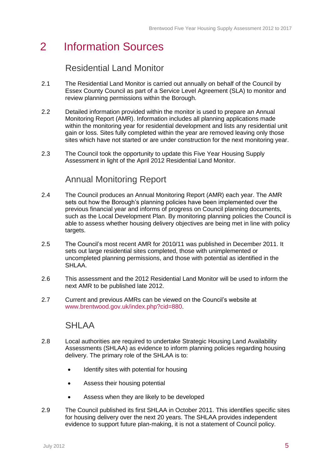### <span id="page-4-0"></span>2 Information Sources

#### Residential Land Monitor

- <span id="page-4-1"></span>2.1 The Residential Land Monitor is carried out annually on behalf of the Council by Essex County Council as part of a Service Level Agreement (SLA) to monitor and review planning permissions within the Borough.
- 2.2 Detailed information provided within the monitor is used to prepare an Annual Monitoring Report (AMR). Information includes all planning applications made within the monitoring year for residential development and lists any residential unit gain or loss. Sites fully completed within the year are removed leaving only those sites which have not started or are under construction for the next monitoring year.
- <span id="page-4-2"></span>2.3 The Council took the opportunity to update this Five Year Housing Supply Assessment in light of the April 2012 Residential Land Monitor.

#### Annual Monitoring Report

- 2.4 The Council produces an Annual Monitoring Report (AMR) each year. The AMR sets out how the Borough's planning policies have been implemented over the previous financial year and informs of progress on Council planning documents, such as the Local Development Plan. By monitoring planning policies the Council is able to assess whether housing delivery objectives are being met in line with policy targets.
- 2.5 The Council's most recent AMR for 2010/11 was published in December 2011. It sets out large residential sites completed, those with unimplemented or uncompleted planning permissions, and those with potential as identified in the SHLAA.
- 2.6 This assessment and the 2012 Residential Land Monitor will be used to inform the next AMR to be published late 2012.
- <span id="page-4-3"></span>2.7 Current and previous AMRs can be viewed on the Council's website at [www.brentwood.gov.uk/index.php?cid=880.](http://www.brentwood.gov.uk/index.php?cid=880)

#### SHLAA

- 2.8 Local authorities are required to undertake Strategic Housing Land Availability Assessments (SHLAA) as evidence to inform planning policies regarding housing delivery. The primary role of the SHLAA is to:
	- Identify sites with potential for housing
	- Assess their housing potential
	- Assess when they are likely to be developed
- 2.9 The Council published its first SHLAA in October 2011. This identifies specific sites for housing delivery over the next 20 years. The SHLAA provides independent evidence to support future plan-making, it is not a statement of Council policy.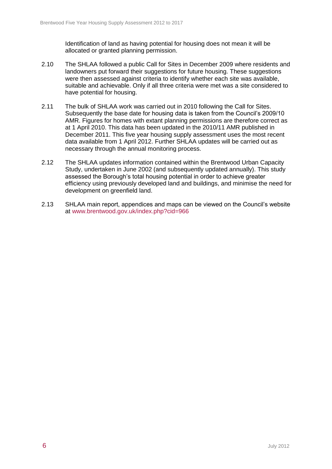Identification of land as having potential for housing does not mean it will be allocated or granted planning permission.

- 2.10 The SHLAA followed a public Call for Sites in December 2009 where residents and landowners put forward their suggestions for future housing. These suggestions were then assessed against criteria to identify whether each site was available, suitable and achievable. Only if all three criteria were met was a site considered to have potential for housing.
- 2.11 The bulk of SHLAA work was carried out in 2010 following the Call for Sites. Subsequently the base date for housing data is taken from the Council's 2009/10 AMR. Figures for homes with extant planning permissions are therefore correct as at 1 April 2010. This data has been updated in the 2010/11 AMR published in December 2011. This five year housing supply assessment uses the most recent data available from 1 April 2012. Further SHLAA updates will be carried out as necessary through the annual monitoring process.
- 2.12 The SHLAA updates information contained within the Brentwood Urban Capacity Study, undertaken in June 2002 (and subsequently updated annually). This study assessed the Borough's total housing potential in order to achieve greater efficiency using previously developed land and buildings, and minimise the need for development on greenfield land.
- 2.13 SHLAA main report, appendices and maps can be viewed on the Council's website at [www.brentwood.gov.uk/index.php?cid=966](http://www.brentwood.gov.uk/index.php?cid=966)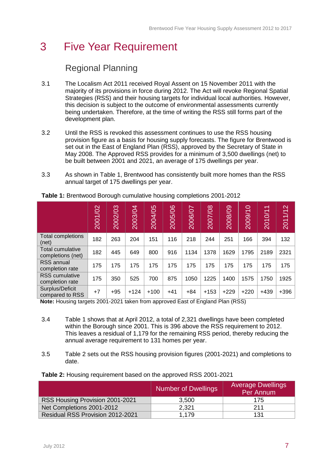### <span id="page-6-0"></span>3 Five Year Requirement

### Regional Planning

- <span id="page-6-1"></span>3.1 The Localism Act 2011 received Royal Assent on 15 November 2011 with the majority of its provisions in force during 2012. The Act will revoke Regional Spatial Strategies (RSS) and their housing targets for individual local authorities. However, this decision is subject to the outcome of environmental assessments currently being undertaken. Therefore, at the time of writing the RSS still forms part of the development plan.
- 3.2 Until the RSS is revoked this assessment continues to use the RSS housing provision figure as a basis for housing supply forecasts. The figure for Brentwood is set out in the East of England Plan (RSS), approved by the Secretary of State in May 2008. The Approved RSS provides for a minimum of 3,500 dwellings (net) to be built between 2001 and 2021, an average of 175 dwellings per year.
- 3.3 As shown in Table 1, Brentwood has consistently built more homes than the RSS annual target of 175 dwellings per year.

|                                          | 2001/02 | 2002/03 | 2003/04 | 2004/05 | 2005/06 | 2006/07 | 2007/08 | 2008/09 | 2009/10 | $\overline{\phantom{0}}$<br>2010/1 | 2011/12 |
|------------------------------------------|---------|---------|---------|---------|---------|---------|---------|---------|---------|------------------------------------|---------|
| Total completions<br>(net)               | 182     | 263     | 204     | 151     | 116     | 218     | 244     | 251     | 166     | 394                                | 132     |
| Total cumulative<br>completions (net)    | 182     | 445     | 649     | 800     | 916     | 1134    | 1378    | 1629    | 1795    | 2189                               | 2321    |
| RSS annual<br>completion rate            | 175     | 175     | 175     | 175     | 175     | 175     | 175     | 175     | 175     | 175                                | 175     |
| <b>RSS</b> cumulative<br>completion rate | 175     | 350     | 525     | 700     | 875     | 1050    | 1225    | 1400    | 1575    | 1750                               | 1925    |
| Surplus/Deficit<br>compared to RSS       | $+7$    | $+95$   | $+124$  | $+100$  | $+41$   | $+84$   | $+153$  | $+229$  | $+220$  | $+439$                             | $+396$  |

<span id="page-6-2"></span>**Table 1:** Brentwood Borough cumulative housing completions 2001-2012

**Note:** Housing targets 2001-2021 taken from approved East of England Plan (RSS)

- 3.4 Table 1 shows that at April 2012, a total of 2,321 dwellings have been completed within the Borough since 2001. This is 396 above the RSS requirement to 2012. This leaves a residual of 1,179 for the remaining RSS period, thereby reducing the annual average requirement to 131 homes per year.
- 3.5 Table 2 sets out the RSS housing provision figures (2001-2021) and completions to date.

|                                  | <b>Number of Dwellings</b> | <b>Average Dwellings</b><br>Per Annum |
|----------------------------------|----------------------------|---------------------------------------|
| RSS Housing Provision 2001-2021  | 3,500                      | 175                                   |
| Net Completions 2001-2012        | 2,321                      | 211                                   |
| Residual RSS Provision 2012-2021 | 1.179                      | 131                                   |

<span id="page-6-3"></span>**Table 2:** Housing requirement based on the approved RSS 2001-2021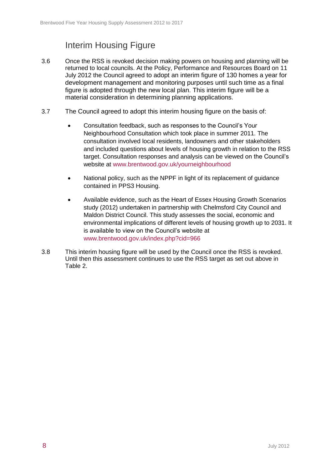### Interim Housing Figure

- <span id="page-7-0"></span>3.6 Once the RSS is revoked decision making powers on housing and planning will be returned to local councils. At the Policy, Performance and Resources Board on 11 July 2012 the Council agreed to adopt an interim figure of 130 homes a year for development management and monitoring purposes until such time as a final figure is adopted through the new local plan. This interim figure will be a material consideration in determining planning applications.
- 3.7 The Council agreed to adopt this interim housing figure on the basis of:
	- Consultation feedback, such as responses to the Council's Your Neighbourhood Consultation which took place in summer 2011. The consultation involved local residents, landowners and other stakeholders and included questions about levels of housing growth in relation to the RSS target. Consultation responses and analysis can be viewed on the Council's website at [www.brentwood.gov.uk/yourneighbourhood](http://www.brentwood.gov.uk/yourneighbourhood)
	- National policy, such as the NPPF in light of its replacement of guidance contained in PPS3 Housing.
	- Available evidence, such as the Heart of Essex Housing Growth Scenarios study (2012) undertaken in partnership with Chelmsford City Council and Maldon District Council. This study assesses the social, economic and environmental implications of different levels of housing growth up to 2031. It is available to view on the Council's website at [www.brentwood.gov.uk/index.php?cid=966](http://www.brentwood.gov.uk/index.php?cid=966)
- 3.8 This interim housing figure will be used by the Council once the RSS is revoked. Until then this assessment continues to use the RSS target as set out above in Table 2.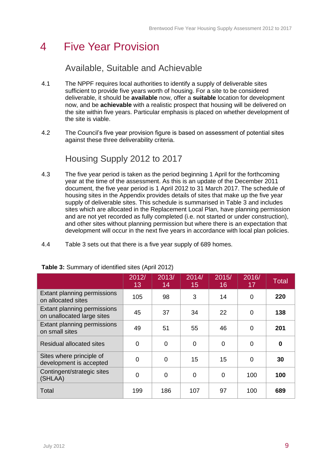### <span id="page-8-0"></span>4 Five Year Provision

#### Available, Suitable and Achievable

- <span id="page-8-1"></span>4.1 The NPPF requires local authorities to identify a supply of deliverable sites sufficient to provide five years worth of housing. For a site to be considered deliverable, it should be **available** now, offer a **suitable** location for development now, and be **achievable** with a realistic prospect that housing will be delivered on the site within five years. Particular emphasis is placed on whether development of the site is viable.
- 4.2 The Council's five year provision figure is based on assessment of potential sites against these three deliverability criteria.

### Housing Supply 2012 to 2017

- <span id="page-8-2"></span>4.3 The five year period is taken as the period beginning 1 April for the forthcoming year at the time of the assessment. As this is an update of the December 2011 document, the five year period is 1 April 2012 to 31 March 2017. The schedule of housing sites in the Appendix provides details of sites that make up the five year supply of deliverable sites. This schedule is summarised in Table 3 and includes sites which are allocated in the Replacement Local Plan, have planning permission and are not yet recorded as fully completed (i.e. not started or under construction), and other sites without planning permission but where there is an expectation that development will occur in the next five years in accordance with local plan policies.
- 4.4 Table 3 sets out that there is a five year supply of 689 homes.

|                                                           | 2012/<br>13    | 2013/<br>14 | 2014/<br>15 | 2015/<br>16 | 2016/<br>17 | <b>Total</b> |
|-----------------------------------------------------------|----------------|-------------|-------------|-------------|-------------|--------------|
| Extant planning permissions<br>on allocated sites         | 105            | 98          | 3           | 14          | 0           | 220          |
| Extant planning permissions<br>on unallocated large sites | 45             | 37          | 34          | 22          | 0           | 138          |
| Extant planning permissions<br>on small sites             | 49             | 51          | 55          | 46          | 0           | 201          |
| <b>Residual allocated sites</b>                           | $\Omega$       | $\Omega$    | $\Omega$    | $\Omega$    | 0           | 0            |
| Sites where principle of<br>development is accepted       | $\Omega$       | $\Omega$    | 15          | 15          | 0           | 30           |
| Contingent/strategic sites<br>(SHLAA)                     | $\overline{0}$ | ∩           | $\Omega$    | $\Omega$    | 100         | 100          |
| Total                                                     | 199            | 186         | 107         | 97          | 100         | 689          |

#### <span id="page-8-3"></span>**Table 3:** Summary of identified sites (April 2012)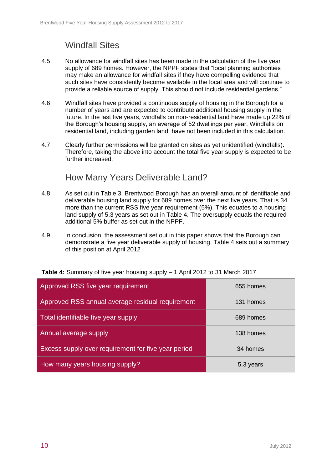### Windfall Sites

- <span id="page-9-0"></span>4.5 No allowance for windfall sites has been made in the calculation of the five year supply of 689 homes. However, the NPPF states that "local planning authorities may make an allowance for windfall sites if they have compelling evidence that such sites have consistently become available in the local area and will continue to provide a reliable source of supply. This should not include residential gardens."
- 4.6 Windfall sites have provided a continuous supply of housing in the Borough for a number of years and are expected to contribute additional housing supply in the future. In the last five years, windfalls on non-residential land have made up 22% of the Borough's housing supply, an average of 52 dwellings per year. Windfalls on residential land, including garden land, have not been included in this calculation.
- 4.7 Clearly further permissions will be granted on sites as yet unidentified (windfalls). Therefore, taking the above into account the total five year supply is expected to be further increased.

#### How Many Years Deliverable Land?

- <span id="page-9-1"></span>4.8 As set out in Table 3, Brentwood Borough has an overall amount of identifiable and deliverable housing land supply for 689 homes over the next five years. That is 34 more than the current RSS five year requirement (5%). This equates to a housing land supply of 5.3 years as set out in Table 4. The oversupply equals the required additional 5% buffer as set out in the NPPF.
- 4.9 In conclusion, the assessment set out in this paper shows that the Borough can demonstrate a five year deliverable supply of housing. Table 4 sets out a summary of this position at April 2012

| Approved RSS five year requirement                  | 655 homes |
|-----------------------------------------------------|-----------|
| Approved RSS annual average residual requirement    | 131 homes |
| Total identifiable five year supply                 | 689 homes |
| Annual average supply                               | 138 homes |
| Excess supply over requirement for five year period | 34 homes  |
| How many years housing supply?                      | 5.3 years |

<span id="page-9-2"></span>**Table 4:** Summary of five year housing supply – 1 April 2012 to 31 March 2017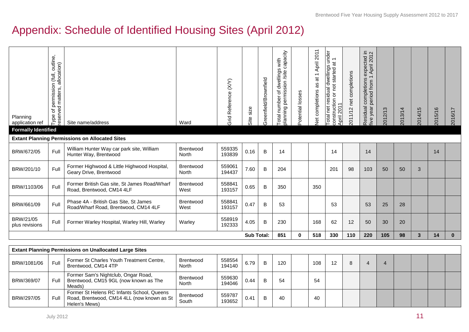### Appendix: Schedule of Identified Housing Sites (April 2012)

<span id="page-10-0"></span>

| Planning<br>application ref<br><b>Formally Identified</b> | Type of permission (full, outline,<br>reserved matters, allocation) | Site name/address                                                                                         | Ward                      | Grid Reference (X/Y) | size<br>Site      | Greenfield/Brownfield | Total number of dwellings with<br>planning permission /site capacity | Potential losses | 2011<br>April<br>$\overline{\phantom{m}}$<br>$\vec{a}$<br><b>Vet completions as</b> | Total net residual dwellings under<br>construction or not started at 1<br>April 2011 | 2011/12 net completions | $\subseteq \infty$<br>expected ii<br>1 April 2012<br>$\overline{\phantom{0}}$<br>completions<br>period from<br>Residual<br>five year | 2012/13        | 2013/14 | 2014/15      | 2015/16 | 2016/17      |
|-----------------------------------------------------------|---------------------------------------------------------------------|-----------------------------------------------------------------------------------------------------------|---------------------------|----------------------|-------------------|-----------------------|----------------------------------------------------------------------|------------------|-------------------------------------------------------------------------------------|--------------------------------------------------------------------------------------|-------------------------|--------------------------------------------------------------------------------------------------------------------------------------|----------------|---------|--------------|---------|--------------|
|                                                           |                                                                     | <b>Extant Planning Permissions on Allocated Sites</b>                                                     |                           |                      |                   |                       |                                                                      |                  |                                                                                     |                                                                                      |                         |                                                                                                                                      |                |         |              |         |              |
| BRW/672/05                                                | Full                                                                | William Hunter Way car park site, William<br>Hunter Way, Brentwood                                        | Brentwood<br>North        | 559335<br>193839     | 0.16              | $\sf B$               | 14                                                                   |                  |                                                                                     | 14                                                                                   |                         | 14                                                                                                                                   |                |         |              | 14      |              |
| BRW/201/10                                                | Full                                                                | Former Highwood & Little Highwood Hospital,<br>Geary Drive, Brentwood                                     | Brentwood<br>North        | 559061<br>194437     | 7.60              | B                     | 204                                                                  |                  |                                                                                     | 201                                                                                  | 98                      | 103                                                                                                                                  | 50             | 50      | 3            |         |              |
| BRW/1103/06                                               | Full                                                                | Former British Gas site, St James Road/Wharf<br>Road, Brentwood, CM14 4LF                                 | Brentwood<br>West         | 558841<br>193157     | 0.65              | B                     | 350                                                                  |                  | 350                                                                                 |                                                                                      |                         |                                                                                                                                      |                |         |              |         |              |
| BRW/661/09                                                | Full                                                                | Phase 4A - British Gas Site, St James<br>Road/Wharf Road, Brentwood, CM14 4LF                             | <b>Brentwood</b><br>West  | 558841<br>193157     | 0.47              | B                     | 53                                                                   |                  |                                                                                     | 53                                                                                   |                         | 53                                                                                                                                   | 25             | 28      |              |         |              |
| BRW/21/05<br>plus revisions                               | Full                                                                | Former Warley Hospital, Warley Hill, Warley                                                               | Warley                    | 558919<br>192333     | 4.05              | $\mathsf B$           | 230                                                                  |                  | 168                                                                                 | 62                                                                                   | 12                      | 50                                                                                                                                   | 30             | 20      |              |         |              |
|                                                           |                                                                     |                                                                                                           |                           |                      | <b>Sub Total:</b> |                       | 851                                                                  | $\bf{0}$         | 518                                                                                 | 330                                                                                  | 110                     | 220                                                                                                                                  | 105            | 98      | $\mathbf{3}$ | 14      | $\mathbf{0}$ |
|                                                           |                                                                     | <b>Extant Planning Permissions on Unallocated Large Sites</b>                                             |                           |                      |                   |                       |                                                                      |                  |                                                                                     |                                                                                      |                         |                                                                                                                                      |                |         |              |         |              |
| BRW/1081/06                                               | Full                                                                | Former St Charles Youth Treatment Centre,<br>Brentwood, CM14 4TP                                          | Brentwood<br>North        | 558554<br>194140     | 6.79              | $\sf B$               | 120                                                                  |                  | 108                                                                                 | 12                                                                                   | 8                       | $\overline{4}$                                                                                                                       | $\overline{4}$ |         |              |         |              |
| BRW/369/07                                                | Full                                                                | Former Sam's Nightclub, Ongar Road,<br>Brentwood, CM15 9GL (now known as The<br>Meads)                    | <b>Brentwood</b><br>North | 559630<br>194046     | 0.44              | B                     | 54                                                                   |                  | 54                                                                                  |                                                                                      |                         |                                                                                                                                      |                |         |              |         |              |
| BRW/297/05                                                | Full                                                                | Former St Helens RC Infants School, Queens<br>Road, Brentwood, CM14 4LL (now known as St<br>Helen's Mews) | Brentwood<br>South        | 559787<br>193652     | 0.41              | B                     | 40                                                                   |                  | 40                                                                                  |                                                                                      |                         |                                                                                                                                      |                |         |              |         |              |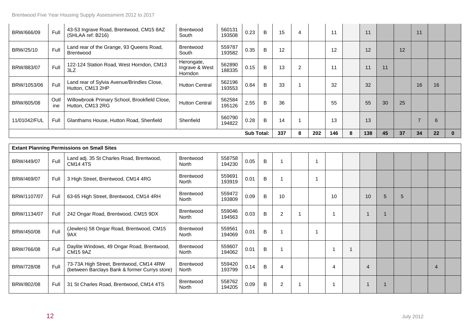BRW/1134/07 | Full 242 Ongar Road, Brentwood, CM15 9DX | Brentwood

BRW/802/08 Full 31 St Charles Road, Brentwood, CM14 4TS Brentwood

(between Barclays Bank & former Currys store)

BRW/450/08 Full (Jewlers) 58 Ongar Road, Brentwood, CM15

BRW/766/08 Full Daylite Windows, 49 Ongar Road, Brentwood,

BRW/728/08 Full 73-73A High Street, Brentwood, CM14 4RW

 $9AX$ 

CM15 9AZ

| BRW/666/09   | Full        | 43-53 Ingrave Road, Brentwood, CM15 8AZ<br>(SHLAA ref: B216)      | Brentwood<br>South                             | 560131<br>193508 | 0.23              | B              | 15  | $\overline{4}$ |                         | 11  |   | 11  |    |    | 11 |    |              |
|--------------|-------------|-------------------------------------------------------------------|------------------------------------------------|------------------|-------------------|----------------|-----|----------------|-------------------------|-----|---|-----|----|----|----|----|--------------|
| BRW/25/10    | Full        | Land rear of the Grange, 93 Queens Road,<br>Brentwood             | <b>Brentwood</b><br>South                      | 559787<br>193582 | 0.35              | B              | 12  |                |                         | 12  |   | 12  |    | 12 |    |    |              |
| BRW/883/07   | Full        | 122-124 Station Road, West Horndon, CM13<br>3LZ                   | Herongate,<br>Ingrave & West<br><b>Horndon</b> | 562890<br>188335 | 0.15              | B              | 13  | $\overline{2}$ |                         | 11  |   | 11  | 11 |    |    |    |              |
| BRW/1053/06  | Full        | Land rear of Sylvia Avenue/Brindles Close,<br>Hutton, CM13 2HP    | <b>Hutton Central</b>                          | 562196<br>193553 | 0.84              | B              | 33  |                |                         | 32  |   | 32  |    |    | 16 | 16 |              |
| BRW/605/08   | Outl<br>ine | Willowbrook Primary School, Brookfield Close,<br>Hutton, CM13 2RG | <b>Hutton Central</b>                          | 562584<br>195126 | 2.55              | B              | 36  |                |                         | 55  |   | 55  | 30 | 25 |    |    |              |
| 11/01042/FUL | Full        | Glanthams House, Hutton Road, Shenfield                           | Shenfield                                      | 560790<br>194822 | 0.28              | $\overline{B}$ | 14  |                |                         | 13  |   | 13  |    |    |    | 6  |              |
|              |             |                                                                   |                                                |                  | <b>Sub Total:</b> |                | 337 | 8              | 202                     | 146 | 8 | 138 | 45 | 37 | 34 | 22 | $\mathbf{0}$ |
|              |             | <b>Extant Planning Permissions on Small Sites</b>                 |                                                |                  |                   |                |     |                |                         |     |   |     |    |    |    |    |              |
|              |             |                                                                   |                                                |                  |                   |                |     |                |                         |     |   |     |    |    |    |    |              |
| BRW/449/07   | Full        | Land adj. 35 St Charles Road, Brentwood,<br><b>CM14 4TS</b>       | Brentwood<br>North                             | 558758<br>194230 | 0.05              | $\sf{B}$       |     |                | $\overline{\mathbf{1}}$ |     |   |     |    |    |    |    |              |
| BRW/469/07   | Full        | 3 High Street, Brentwood, CM14 4RG                                | <b>Brentwood</b><br><b>North</b>               | 559691<br>193919 | 0.01              | B              |     |                | 1                       |     |   |     |    |    |    |    |              |
| BRW/1107/07  | Full        | 63-65 High Street, Brentwood, CM14 4RH                            | <b>Brentwood</b><br>North                      | 559472<br>193809 | 0.09              | B              | 10  |                |                         | 10  |   | 10  | 5  | 5  |    |    |              |

559046<br>194563

559607

559420<br>193799

558762<br>194205

<sup>194563</sup> 0.03 <sup>B</sup> <sup>2</sup> <sup>1</sup> <sup>1</sup> <sup>1</sup> <sup>1</sup>

<sup>194205</sup> 0.09 <sup>B</sup> <sup>2</sup> <sup>1</sup> <sup>1</sup> <sup>1</sup> <sup>1</sup>

<sup>193799</sup> 0.14 <sup>B</sup> <sup>4</sup> <sup>4</sup> <sup>4</sup> <sup>4</sup>

559561 0.01 B 1 1 1<br>194069 0.01 B 1 1

 $\begin{array}{|c|c|c|c|c|c|c|c|c|c|c|c|} \hline 18 & 1 & 1 & 1 & 1 \ \hline 194062 & 0.01 & B & 1 & 1 \ \hline \end{array}$ 

North

Brentwood North

Brentwood North

Brentwood North

North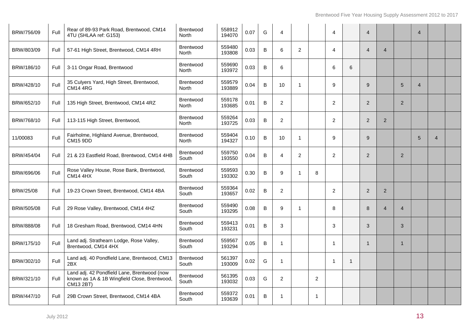| BRW/756/09 | Full | Rear of 89-93 Park Road, Brentwood, CM14<br>4TU (SHLAA ref: G153)                                        | <b>Brentwood</b><br>North | 558912<br>194070 | 0.07 | G       | 4              |                |                | $\overline{4}$ |   | $\overline{4}$ |                |                | $\boldsymbol{\Lambda}$ |                |  |
|------------|------|----------------------------------------------------------------------------------------------------------|---------------------------|------------------|------|---------|----------------|----------------|----------------|----------------|---|----------------|----------------|----------------|------------------------|----------------|--|
| BRW/803/09 | Full | 57-61 High Street, Brentwood, CM14 4RH                                                                   | <b>Brentwood</b><br>North | 559480<br>193808 | 0.03 | B       | 6              | $\overline{2}$ |                | 4              |   | $\overline{4}$ | $\overline{4}$ |                |                        |                |  |
| BRW/186/10 | Full | 3-11 Ongar Road, Brentwood                                                                               | <b>Brentwood</b><br>North | 559690<br>193972 | 0.03 | B       | 6              |                |                | 6              | 6 |                |                |                |                        |                |  |
| BRW/428/10 | Full | 35 Culyers Yard, High Street, Brentwood,<br><b>CM14 4RG</b>                                              | <b>Brentwood</b><br>North | 559579<br>193889 | 0.04 | B       | 10             | 1              |                | 9              |   | 9              |                | 5              | $\overline{4}$         |                |  |
| BRW/652/10 | Full | 135 High Street, Brentwood, CM14 4RZ                                                                     | <b>Brentwood</b><br>North | 559178<br>193685 | 0.01 | $\sf B$ | $\overline{2}$ |                |                | $\overline{2}$ |   | 2              |                | $\overline{2}$ |                        |                |  |
| BRW/768/10 | Full | 113-115 High Street, Brentwood,                                                                          | <b>Brentwood</b><br>North | 559264<br>193725 | 0.03 | B       | $\overline{2}$ |                |                | 2              |   | 2              | 2              |                |                        |                |  |
| 11/00083   | Full | Fairholme, Highland Avenue, Brentwood,<br><b>CM15 9DD</b>                                                | <b>Brentwood</b><br>North | 559404<br>194327 | 0.10 | B       | 10             | $\mathbf{1}$   |                | 9              |   | 9              |                |                | 5                      | $\overline{4}$ |  |
| BRW/454/04 | Full | 21 & 23 Eastfield Road, Brentwood, CM14 4HB                                                              | <b>Brentwood</b><br>South | 559750<br>193550 | 0.04 | $\sf B$ | $\overline{4}$ | $\overline{a}$ |                | 2              |   | 2              |                | 2              |                        |                |  |
| BRW/696/06 | Full | Rose Valley House, Rose Bank, Brentwood,<br><b>CM14 4HX</b>                                              | <b>Brentwood</b><br>South | 559593<br>193302 | 0.30 | $\sf B$ | 9              | $\mathbf{1}$   | 8              |                |   |                |                |                |                        |                |  |
| BRW/25/08  | Full | 19-23 Crown Street, Brentwood, CM14 4BA                                                                  | <b>Brentwood</b><br>South | 559364<br>193657 | 0.02 | B       | $\overline{2}$ |                |                | 2              |   | $\overline{2}$ | $\overline{2}$ |                |                        |                |  |
| BRW/505/08 | Full | 29 Rose Valley, Brentwood, CM14 4HZ                                                                      | <b>Brentwood</b><br>South | 559490<br>193295 | 0.08 | B       | 9              | $\mathbf{1}$   |                | 8              |   | 8              | $\overline{4}$ | $\overline{4}$ |                        |                |  |
| BRW/888/08 | Full | 18 Gresham Road, Brentwood, CM14 4HN                                                                     | <b>Brentwood</b><br>South | 559413<br>193231 | 0.01 | B       | 3              |                |                | 3              |   | 3              |                | 3              |                        |                |  |
| BRW/175/10 | Full | Land adj. Strathearn Lodge, Rose Valley,<br>Brentwood, CM14 4HX                                          | <b>Brentwood</b><br>South | 559567<br>193294 | 0.05 | $\sf B$ | -1             |                |                | -1             |   | $\overline{1}$ |                | 1              |                        |                |  |
| BRW/302/10 | Full | Land adj. 40 Pondfield Lane, Brentwood, CM13<br>2BX                                                      | <b>Brentwood</b><br>South | 561397<br>193009 | 0.02 | G       |                |                |                | -1             | 1 |                |                |                |                        |                |  |
| BRW/321/10 | Full | Land adj. 42 Pondfield Lane, Brentwood (now<br>known as 1A & 1B Wingfield Close, Brentwood,<br>CM13 2BT) | <b>Brentwood</b><br>South | 561395<br>193032 | 0.03 | G       | $\overline{2}$ |                | $\overline{2}$ |                |   |                |                |                |                        |                |  |
| BRW/447/10 | Full | 29B Crown Street, Brentwood, CM14 4BA                                                                    | <b>Brentwood</b><br>South | 559372<br>193639 | 0.01 | $\sf B$ |                |                | $\mathbf{1}$   |                |   |                |                |                |                        |                |  |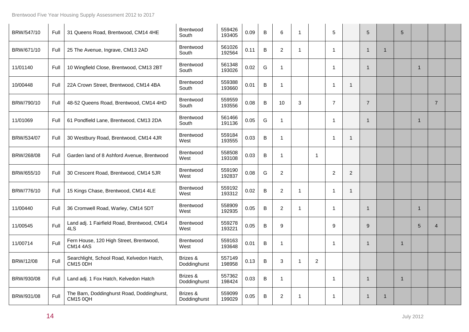| BRW/547/10 | Full | 31 Queens Road, Brentwood, CM14 4HE                           | Brentwood<br>South        | 559426<br>193405 | 0.09 | B       | 6              | $\mathbf 1$ |                | 5              |                | $\sqrt{5}$     |              | 5  |                |                |  |
|------------|------|---------------------------------------------------------------|---------------------------|------------------|------|---------|----------------|-------------|----------------|----------------|----------------|----------------|--------------|----|----------------|----------------|--|
| BRW/671/10 | Full | 25 The Avenue, Ingrave, CM13 2AD                              | <b>Brentwood</b><br>South | 561026<br>192564 | 0.11 | $\sf B$ | $\overline{2}$ | -1          |                | 1              |                | $\mathbf{1}$   | $\mathbf{1}$ |    |                |                |  |
| 11/01140   | Full | 10 Wingfield Close, Brentwood, CM13 2BT                       | Brentwood<br>South        | 561348<br>193026 | 0.02 | G       | $\mathbf{1}$   |             |                | -1             |                | 1              |              |    | $\mathbf{1}$   |                |  |
| 10/00448   | Full | 22A Crown Street, Brentwood, CM14 4BA                         | Brentwood<br>South        | 559388<br>193660 | 0.01 | B       | $\mathbf{1}$   |             |                | $\mathbf 1$    | $\overline{1}$ |                |              |    |                |                |  |
| BRW/790/10 | Full | 48-52 Queens Road, Brentwood, CM14 4HD                        | <b>Brentwood</b><br>South | 559559<br>193556 | 0.08 | B       | 10             | 3           |                | $\overline{7}$ |                | $\overline{7}$ |              |    |                | $\overline{7}$ |  |
| 11/01069   | Full | 61 Pondfield Lane, Brentwood, CM13 2DA                        | Brentwood<br>South        | 561466<br>191136 | 0.05 | G       | $\mathbf{1}$   |             |                | -1             |                | 1              |              |    | $\mathbf{1}$   |                |  |
| BRW/534/07 | Full | 30 Westbury Road, Brentwood, CM14 4JR                         | <b>Brentwood</b><br>West  | 559184<br>193555 | 0.03 | B       | $\mathbf{1}$   |             |                | -1             | $\overline{1}$ |                |              |    |                |                |  |
| BRW/268/08 | Full | Garden land of 8 Ashford Avenue, Brentwood                    | <b>Brentwood</b><br>West  | 558508<br>193108 | 0.03 | B       | -1             |             | $\overline{1}$ |                |                |                |              |    |                |                |  |
| BRW/655/10 | Full | 30 Crescent Road, Brentwood, CM14 5JR                         | <b>Brentwood</b><br>West  | 559190<br>192837 | 0.08 | G       | $\overline{2}$ |             |                | 2              | $\overline{2}$ |                |              |    |                |                |  |
| BRW/776/10 | Full | 15 Kings Chase, Brentwood, CM14 4LE                           | <b>Brentwood</b><br>West  | 559192<br>193312 | 0.02 | B       | $\overline{2}$ | -1          |                | $\mathbf 1$    | $\overline{1}$ |                |              |    |                |                |  |
| 11/00440   | Full | 36 Cromwell Road, Warley, CM14 5DT                            | Brentwood<br>West         | 558909<br>192935 | 0.05 | B       | $\overline{2}$ | 1           |                | -1             |                | $\mathbf{1}$   |              |    | $\overline{1}$ |                |  |
| 11/00545   | Full | Land adj. 1 Fairfield Road, Brentwood, CM14<br>4LS            | Brentwood<br>West         | 559278<br>193221 | 0.05 | B       | 9              |             |                | 9              |                | 9              |              |    | 5              | $\overline{4}$ |  |
| 11/00714   | Full | Fern House, 120 High Street, Brentwood,<br><b>CM14 4AS</b>    | <b>Brentwood</b><br>West  | 559163<br>193648 | 0.01 | B       | 1              |             |                | -1             |                | $\mathbf{1}$   |              | -1 |                |                |  |
| BRW/12/08  | Full | Searchlight, School Road, Kelvedon Hatch,<br>CM15 ODH         | Brizes &<br>Doddinghurst  | 557149<br>198958 | 0.13 | B       | 3              | 1           | 2              |                |                |                |              |    |                |                |  |
| BRW/930/08 | Full | Land adj. 1 Fox Hatch, Kelvedon Hatch                         | Brizes &<br>Doddinghurst  | 557362<br>198424 | 0.03 | B       | $\mathbf{1}$   |             |                | -1             |                | $\mathbf{1}$   |              | -1 |                |                |  |
| BRW/931/08 | Full | The Barn, Doddinghurst Road, Doddinghurst,<br><b>CM15 0QH</b> | Brizes &<br>Doddinghurst  | 559099<br>199029 | 0.05 | B       | $\overline{2}$ | -1          |                | -1             |                | $\mathbf{1}$   | 1            |    |                |                |  |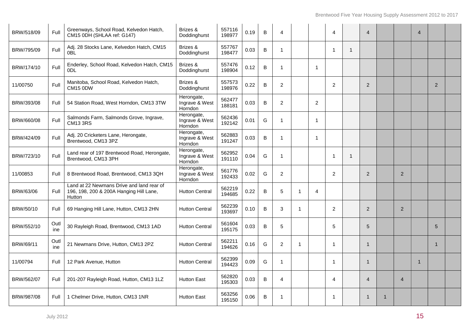| BRW/518/09 | Full        | Greenways, School Road, Kelvedon Hatch,<br>CM15 0DH (SHLAA ref: G147)                          | Brizes &<br>Doddinghurst                | 557116<br>198977 | 0.19 | $\mathsf B$ | 4              |   |                | 4              |    | $\overline{4}$ |                | $\boldsymbol{\vartriangle}$ |                |  |
|------------|-------------|------------------------------------------------------------------------------------------------|-----------------------------------------|------------------|------|-------------|----------------|---|----------------|----------------|----|----------------|----------------|-----------------------------|----------------|--|
| BRW/795/09 | Full        | Adj. 28 Stocks Lane, Kelvedon Hatch, CM15<br>0 <sub>BL</sub>                                   | Brizes &<br>Doddinghurst                | 557767<br>198477 | 0.03 | $\sf B$     | 1              |   |                | - 1            | -1 |                |                |                             |                |  |
| BRW/174/10 | Full        | Enderley, School Road, Kelvedon Hatch, CM15<br>0 <sub>D</sub> L                                | Brizes &<br>Doddinghurst                | 557476<br>198904 | 0.12 | B           | -1             |   | $\mathbf 1$    |                |    |                |                |                             |                |  |
| 11/00750   | Full        | Manitoba, School Road, Kelvedon Hatch,<br><b>CM15 0DW</b>                                      | Brizes &<br>Doddinghurst                | 557573<br>198976 | 0.22 | B           | $\overline{2}$ |   |                | $\overline{c}$ |    | $\overline{2}$ |                |                             | $\overline{2}$ |  |
| BRW/393/08 | Full        | 54 Station Road, West Horndon, CM13 3TW                                                        | Herongate,<br>Ingrave & West<br>Horndon | 562477<br>188181 | 0.03 | B           | $\overline{2}$ |   | 2              |                |    |                |                |                             |                |  |
| BRW/660/08 | Full        | Salmonds Farm, Salmonds Grove, Ingrave,<br><b>CM13 3RS</b>                                     | Herongate,<br>Ingrave & West<br>Horndon | 562436<br>192142 | 0.01 | G           | -1             |   | $\mathbf{1}$   |                |    |                |                |                             |                |  |
| BRW/424/09 | Full        | Adj. 20 Cricketers Lane, Herongate,<br>Brentwood, CM13 3PZ                                     | Herongate,<br>Ingrave & West<br>Horndon | 562883<br>191247 | 0.03 | B           | $\mathbf{1}$   |   | $\mathbf{1}$   |                |    |                |                |                             |                |  |
| BRW/723/10 | Full        | Land rear of 197 Brentwood Road, Herongate,<br>Brentwood, CM13 3PH                             | Herongate,<br>Ingrave & West<br>Horndon | 562952<br>191110 | 0.04 | G           | -1             |   |                | -1             | 1  |                |                |                             |                |  |
| 11/00853   | Full        | 8 Brentwood Road, Brentwood, CM13 3QH                                                          | Herongate,<br>Ingrave & West<br>Horndon | 561776<br>192433 | 0.02 | G           | $\overline{2}$ |   |                | 2              |    | 2              | 2              |                             |                |  |
| BRW/63/06  | Full        | Land at 22 Newmans Drive and land rear of<br>196, 198, 200 & 200A Hanging Hill Lane,<br>Hutton | <b>Hutton Central</b>                   | 562219<br>194685 | 0.22 | B           | 5              | 1 | $\overline{4}$ |                |    |                |                |                             |                |  |
| BRW/50/10  | Full        | 69 Hanging Hill Lane, Hutton, CM13 2HN                                                         | <b>Hutton Central</b>                   | 562239<br>193697 | 0.10 | B           | 3              | 1 |                | 2              |    | 2              | $\overline{2}$ |                             |                |  |
| BRW/552/10 | Outl<br>ine | 30 Rayleigh Road, Brentwood, CM13 1AD                                                          | <b>Hutton Central</b>                   | 561604<br>195175 | 0.03 | B           | 5              |   |                | 5              |    | 5              |                |                             | 5              |  |
| BRW/69/11  | Outl<br>ine | 21 Newmans Drive, Hutton, CM13 2PZ                                                             | <b>Hutton Central</b>                   | 562211<br>194626 | 0.16 | G           | $\overline{2}$ |   |                | -1             |    | $\overline{1}$ |                |                             | -1             |  |
| 11/00794   | Full        | 12 Park Avenue, Hutton                                                                         | <b>Hutton Central</b>                   | 562399<br>194423 | 0.09 | G           | -1             |   |                | -1             |    | $\overline{1}$ |                | -1                          |                |  |
| BRW/562/07 | Full        | 201-207 Rayleigh Road, Hutton, CM13 1LZ                                                        | <b>Hutton East</b>                      | 562820<br>195303 | 0.03 | B           | 4              |   |                | 4              |    | $\overline{4}$ | $\overline{4}$ |                             |                |  |
| BRW/987/08 | Full        | 1 Chelmer Drive, Hutton, CM13 1NR                                                              | <b>Hutton East</b>                      | 563256<br>195150 | 0.06 | B           | 1              |   |                | -1             |    | $\mathbf{1}$   |                |                             |                |  |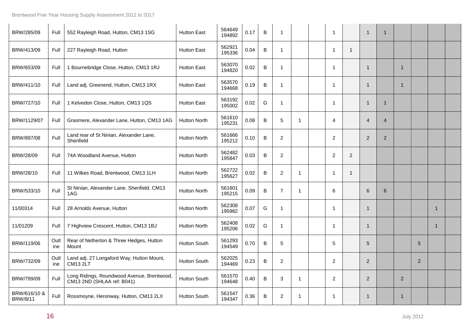| BRW/285/09                      | Full        | 552 Rayleigh Road, Hutton, CM13 1SG                                      | <b>Hutton East</b>  | 564649<br>194892 | 0.17 | B       | -1             |    | -1             |                | $\mathbf 1$    | $\mathbf{1}$   |                |                |             |  |
|---------------------------------|-------------|--------------------------------------------------------------------------|---------------------|------------------|------|---------|----------------|----|----------------|----------------|----------------|----------------|----------------|----------------|-------------|--|
| BRW/413/09                      | Full        | 227 Rayleigh Road, Hutton                                                | <b>Hutton East</b>  | 562921<br>195336 | 0.04 | B       | 1              |    | -1             | $\mathbf{1}$   |                |                |                |                |             |  |
| BRW/653/09                      | Full        | 1 Bournebridge Close, Hutton, CM13 1RJ                                   | <b>Hutton East</b>  | 563070<br>194820 | 0.02 | B       | $\mathbf 1$    |    | -1             |                | $\mathbf{1}$   |                | -1             |                |             |  |
| BRW/411/10                      | Full        | Land adj. Greenend, Hutton, CM13 1RX                                     | <b>Hutton East</b>  | 563570<br>194668 | 0.19 | B       | -1             |    | -1             |                | $\mathbf 1$    |                | -1             |                |             |  |
| BRW/727/10                      | Full        | 1 Kelvedon Close, Hutton, CM13 1QS                                       | <b>Hutton East</b>  | 563192<br>195002 | 0.02 | G       | $\overline{1}$ |    |                |                | $\mathbf 1$    | 1              |                |                |             |  |
| BRW/1129/07                     | Full        | Grasmere, Alexander Lane, Hutton, CM13 1AG                               | <b>Hutton North</b> | 561610<br>195231 | 0.08 | B       | 5              | -1 | 4              |                | $\overline{4}$ | $\overline{4}$ |                |                |             |  |
| BRW/897/08                      | Full        | Land rear of St Ninian, Alexander Lane,<br>Shenfield                     | <b>Hutton North</b> | 561666<br>195212 | 0.10 | В       | $\overline{2}$ |    | $\overline{2}$ |                | $\overline{2}$ | $\overline{2}$ |                |                |             |  |
| BRW/28/09                       | Full        | 74A Woodland Avenue, Hutton                                              | <b>Hutton North</b> | 562482<br>195847 | 0.03 | $\sf B$ | $\overline{a}$ |    | $\overline{c}$ | $\overline{c}$ |                |                |                |                |             |  |
| BRW/28/10                       | Full        | 11 Wilkes Road, Brentwood, CM13 1LH                                      | <b>Hutton North</b> | 562722<br>195627 | 0.02 | В       | $\overline{2}$ | 1  | $\mathbf 1$    | $\mathbf{1}$   |                |                |                |                |             |  |
| BRW/533/10                      | Full        | St Ninian, Alexander Lane, Shenfield, CM13<br>1AG                        | <b>Hutton North</b> | 561601<br>195215 | 0.09 | В       | $\overline{7}$ | -1 | 6              |                | 6              | 6              |                |                |             |  |
| 11/00314                        | Full        | 28 Arnolds Avenue, Hutton                                                | <b>Hutton North</b> | 562308<br>195982 | 0.07 | G       | 1              |    |                |                | $\mathbf 1$    |                |                |                | 1           |  |
| 11/01209                        | Full        | 7 Highview Crescent, Hutton, CM13 1BJ                                    | <b>Hutton North</b> | 562408<br>195206 | 0.02 | G       | -1             |    | -1             |                | $\mathbf 1$    |                |                |                | $\mathbf 1$ |  |
| BRW/119/06                      | Outl<br>ine | Rear of Netherton & Three Hedges, Hutton<br>Mount                        | <b>Hutton South</b> | 561293<br>194549 | 0.70 | В       | 5              |    | 5              |                | 5              |                |                | 5              |             |  |
| BRW/732/09                      | Outl<br>ine | Land adj. 27 Longaford Way, Hutton Mount,<br><b>CM13 2LT</b>             | <b>Hutton South</b> | 562025<br>194469 | 0.23 | B       | $\overline{2}$ |    | $\overline{c}$ |                | $\overline{2}$ |                |                | $\overline{2}$ |             |  |
| BRW/799/09                      | Full        | Long Ridings, Roundwood Avenue, Brentwood,<br>CM13 2ND (SHLAA ref: B041) | <b>Hutton South</b> | 561570<br>194648 | 0.40 | B       | 3              | 1  | $\overline{2}$ |                | $\overline{2}$ |                | $\overline{2}$ |                |             |  |
| BRW/616/10 &<br><b>BRW/8/11</b> | Full        | Rossmoyne, Heronway, Hutton, CM13 2LX                                    | <b>Hutton South</b> | 561547<br>194347 | 0.36 | B       | $\overline{c}$ | -1 | -1             |                | 1              |                |                |                |             |  |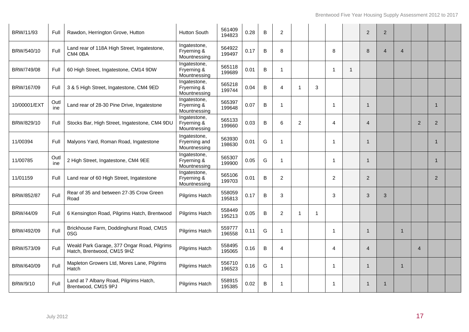| BRW/11/93    | Full        | Rawdon, Herrington Grove, Hutton                                          | <b>Hutton South</b>                           | 561409<br>194823 | 0.28 | B | $\overline{2}$ |                |   |                |             | 2              | 2              |                |                |                |  |
|--------------|-------------|---------------------------------------------------------------------------|-----------------------------------------------|------------------|------|---|----------------|----------------|---|----------------|-------------|----------------|----------------|----------------|----------------|----------------|--|
| BRW/540/10   | Full        | Land rear of 118A High Street, Ingatestone,<br>CM4 0BA                    | Ingatestone,<br>Fryerning &<br>Mountnessing   | 564922<br>199497 | 0.17 | B | 8              |                |   | 8              |             | 8              | $\overline{4}$ | $\overline{4}$ |                |                |  |
| BRW/749/08   | Full        | 60 High Street, Ingatestone, CM14 9DW                                     | Ingatestone,<br>Fryerning &<br>Mountnessing   | 565118<br>199689 | 0.01 | B | 1              |                |   | -1             | $\mathbf 1$ |                |                |                |                |                |  |
| BRW/167/09   | Full        | 3 & 5 High Street, Ingatestone, CM4 9ED                                   | Ingatestone,<br>Fryerning &<br>Mountnessing   | 565218<br>199744 | 0.04 | B | 4              | -1             | 3 |                |             |                |                |                |                |                |  |
| 10/00001/EXT | Outl<br>ine | Land rear of 28-30 Pine Drive, Ingatestone                                | Ingatestone,<br>Fryerning &<br>Mountnessing   | 565397<br>199648 | 0.07 | B | 1              |                |   | -1             |             | $\mathbf 1$    |                |                |                | $\mathbf{1}$   |  |
| BRW/829/10   | Full        | Stocks Bar, High Street, Ingatestone, CM4 9DU                             | Ingatestone,<br>Fryerning &<br>Mountnessing   | 565133<br>199660 | 0.03 | B | 6              | $\overline{2}$ |   | $\overline{4}$ |             | $\overline{4}$ |                |                | 2              | $\overline{2}$ |  |
| 11/00394     | Full        | Malyons Yard, Roman Road, Ingatestone                                     | Ingatestone,<br>Fryerning and<br>Mountnessing | 563930<br>198630 | 0.01 | G | 1              |                |   | -1             |             | -1             |                |                |                | -1             |  |
| 11/00785     | Outl<br>ine | 2 High Street, Ingatestone, CM4 9EE                                       | Ingatestone,<br>Fryerning &<br>Mountnessing   | 565307<br>199900 | 0.05 | G | 1              |                |   | -1             |             | -1             |                |                |                | -1             |  |
| 11/01159     | Full        | Land rear of 60 High Street, Ingatestone                                  | Ingatestone,<br>Fryerning &<br>Mountnessing   | 565106<br>199703 | 0.01 | B | $\overline{2}$ |                |   | $\overline{2}$ |             | $\overline{2}$ |                |                |                | 2              |  |
| BRW/852/87   | Full        | Rear of 35 and between 27-35 Crow Green<br>Road                           | Pilgrims Hatch                                | 558059<br>195813 | 0.17 | В | 3              |                |   | 3              |             | 3              | 3              |                |                |                |  |
| BRW/44/09    | Full        | 6 Kensington Road, Pilgrims Hatch, Brentwood                              | <b>Pilgrims Hatch</b>                         | 558449<br>195213 | 0.05 | В | $\overline{2}$ | -1             | 1 |                |             |                |                |                |                |                |  |
| BRW/492/09   | Full        | Brickhouse Farm, Doddinghurst Road, CM15<br>0SG                           | Pilgrims Hatch                                | 559777<br>196558 | 0.11 | G | 1              |                |   | -1             |             | 1              |                |                |                |                |  |
| BRW/573/09   | Full        | Weald Park Garage, 377 Ongar Road, Pilgrims<br>Hatch, Brentwood, CM15 9HZ | Pilgrims Hatch                                | 558495<br>195065 | 0.16 | B | 4              |                |   | $\overline{4}$ |             | $\overline{4}$ |                |                | $\overline{4}$ |                |  |
| BRW/640/09   | Full        | Mapleton Growers Ltd, Mores Lane, Pilgrims<br>Hatch                       | Pilgrims Hatch                                | 556710<br>196523 | 0.16 | G | 1              |                |   | $\mathbf{1}$   |             | -1             |                | 1              |                |                |  |
| BRW/9/10     | Full        | Land at 7 Albany Road, Pilgrims Hatch,<br>Brentwood, CM15 9PJ             | <b>Pilgrims Hatch</b>                         | 558915<br>195385 | 0.02 | B | -1             |                |   | -1             |             | -1             |                |                |                |                |  |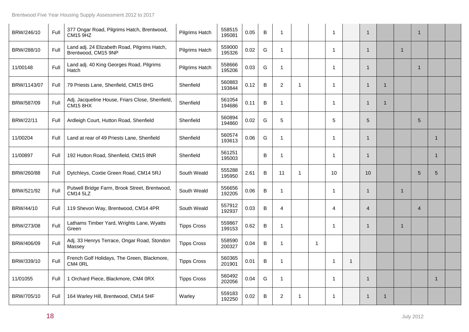| BRW/246/10  | Full | 377 Ongar Road, Pilgrims Hatch, Brentwood,<br><b>CM15 9HZ</b>       | Pilgrims Hatch     | 558515<br>195081 | 0.05 | B       | -1             |    |             | $\overline{1}$ |             | $\mathbf{1}$   |   |              | 1              |              |  |
|-------------|------|---------------------------------------------------------------------|--------------------|------------------|------|---------|----------------|----|-------------|----------------|-------------|----------------|---|--------------|----------------|--------------|--|
| BRW/288/10  | Full | Land adj. 24 Elizabeth Road, Pilgrims Hatch,<br>Brentwood, CM15 9NP | Pilgrims Hatch     | 559000<br>195326 | 0.02 | G       | 1              |    |             | -1             |             | $\mathbf{1}$   |   | $\mathbf{1}$ |                |              |  |
| 11/00148    | Full | Land adj. 40 King Georges Road, Pilgrims<br>Hatch                   | Pilgrims Hatch     | 558666<br>195206 | 0.03 | G       | -1             |    |             | -1             |             | $\mathbf{1}$   |   |              | 1              |              |  |
| BRW/1143/07 | Full | 79 Priests Lane, Shenfield, CM15 8HG                                | Shenfield          | 560883<br>193844 | 0.12 | $\sf B$ | $\overline{c}$ | -1 |             | $\overline{1}$ |             | $\overline{1}$ | 1 |              |                |              |  |
| BRW/587/09  | Full | Adj. Jacqueline House, Friars Close, Shenfield,<br><b>CM15 8HX</b>  | Shenfield          | 561054<br>194686 | 0.11 | B       | 1              |    |             | -1             |             | $\mathbf{1}$   |   |              |                |              |  |
| BRW/22/11   | Full | Ardleigh Court, Hutton Road, Shenfield                              | Shenfield          | 560894<br>194860 | 0.02 | G       | 5              |    |             | 5              |             | $\sqrt{5}$     |   |              | 5              |              |  |
| 11/00204    | Full | Land at rear of 49 Priests Lane, Shenfield                          | Shenfield          | 560574<br>193613 | 0.06 | G       | -1             |    |             | -1             |             | $\overline{1}$ |   |              |                | $\mathbf{1}$ |  |
| 11/00897    | Full | 192 Hutton Road, Shenfield, CM15 8NR                                | Shenfield          | 561251<br>195003 |      | B       | -1             |    |             | -1             |             | $\mathbf{1}$   |   |              |                | $\mathbf{1}$ |  |
| BRW/260/88  | Full | Dytchleys, Coxtie Green Road, CM14 5RJ                              | South Weald        | 555288<br>195950 | 2.61 | В       | 11             | -1 |             | 10             |             | 10             |   |              | 5              | 5            |  |
| BRW/521/92  | Full | Putwell Bridge Farm, Brook Street, Brentwood,<br><b>CM14 5LZ</b>    | South Weald        | 556656<br>192205 | 0.06 | B       | 1              |    |             | -1             |             | $\mathbf{1}$   |   | $\mathbf 1$  |                |              |  |
| BRW/44/10   | Full | 119 Shevon Way, Brentwood, CM14 4PR                                 | South Weald        | 557912<br>192937 | 0.03 | B       | 4              |    |             | $\overline{4}$ |             | $\overline{4}$ |   |              | $\overline{4}$ |              |  |
| BRW/273/08  | Full | Lathams Timber Yard, Wrights Lane, Wyatts<br>Green                  | <b>Tipps Cross</b> | 559867<br>199153 | 0.62 | B       | $\overline{1}$ |    |             | $\mathbf 1$    |             | $\mathbf{1}$   |   | $\mathbf{1}$ |                |              |  |
| BRW/406/09  | Full | Adj. 33 Henrys Terrace, Ongar Road, Stondon<br>Massey               | <b>Tipps Cross</b> | 558590<br>200327 | 0.04 | B       | -1             |    | $\mathbf 1$ |                |             |                |   |              |                |              |  |
| BRW/339/10  | Full | French Golf Holidays, The Green, Blackmore,<br>CM4 ORL              | <b>Tipps Cross</b> | 560365<br>201901 | 0.01 | В       | -1             |    |             | 1              | $\mathbf 1$ |                |   |              |                |              |  |
| 11/01055    | Full | 1 Orchard Piece, Blackmore, CM4 0RX                                 | <b>Tipps Cross</b> | 560492<br>202056 | 0.04 | G       | -1             |    |             | -1             |             | $\mathbf{1}$   |   |              |                | $\mathbf{1}$ |  |
| BRW/705/10  | Full | 164 Warley Hill, Brentwood, CM14 5HF                                | Warley             | 559183<br>192250 | 0.02 | B       | $\overline{c}$ | 1  |             | $\overline{1}$ |             | $\mathbf 1$    |   |              |                |              |  |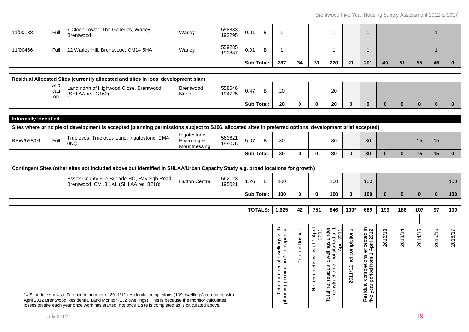| 11/00466 | Full I | 22 Warley Hill, Brentwood, CM14 5HA | Warley | 559285<br>192887 | 0.01              | B |     |    |    |     |    |     |    |    |    |    |  |
|----------|--------|-------------------------------------|--------|------------------|-------------------|---|-----|----|----|-----|----|-----|----|----|----|----|--|
|          |        |                                     |        |                  | <b>Sub Total:</b> |   | 287 | 34 | 31 | 220 | 21 | 201 | 49 | 51 | 55 | 46 |  |

| Residual Allocated Sites (currently allocated and sites in local development plan) |                                                                         |                    |                  |                 |  |    |  |  |          |  |  |  |  |
|------------------------------------------------------------------------------------|-------------------------------------------------------------------------|--------------------|------------------|-----------------|--|----|--|--|----------|--|--|--|--|
| Allo<br>cati<br>-on                                                                | Land north of Highwood Close,<br>. Brentwood<br>(SHL<br>HLAA ref: G160) | Brentwood<br>North | 558646<br>194725 | 0.47            |  | 20 |  |  | ററ<br>∠∪ |  |  |  |  |
|                                                                                    |                                                                         |                    |                  | <b>Sub Tota</b> |  | 20 |  |  | 20       |  |  |  |  |

| <b>Informally Identified</b>                                                                                                                              |      |                                                    |                                             |                  |                   |  |    |  |  |    |    |  |     |  |
|-----------------------------------------------------------------------------------------------------------------------------------------------------------|------|----------------------------------------------------|---------------------------------------------|------------------|-------------------|--|----|--|--|----|----|--|-----|--|
| Sites where principle of development is accepted (planning permissions subject to S106, allocated sites in preferred options, development brief accepted) |      |                                                    |                                             |                  |                   |  |    |  |  |    |    |  |     |  |
| BRW/558/09                                                                                                                                                | Full | Trueloves, Trueloves Lane, Ingatestone, CM4<br>0NQ | Ingatestone,<br>Fryerning &<br>Mountnessina | 563621<br>199076 | 5.07              |  | 30 |  |  | 30 | 30 |  |     |  |
|                                                                                                                                                           |      |                                                    |                                             |                  | <b>Sub Total:</b> |  | 30 |  |  | 30 | 30 |  | 15. |  |

| Contingent Sites (other sites not included above but identified in SHLAA/Urban Capacity Study e.g. broad locations for growth) |                |                  |                   |  |     |              |  |     |  |     |  |  |     |
|--------------------------------------------------------------------------------------------------------------------------------|----------------|------------------|-------------------|--|-----|--------------|--|-----|--|-----|--|--|-----|
| Essex County Fire Brigade HQ, Rayleigh Road,<br>Brentwood, CM13 1AL (SHLAA ref: B218)                                          | Hutton Central | 562123<br>195021 | .26               |  | 100 |              |  | 100 |  | 100 |  |  | 100 |
|                                                                                                                                |                |                  | <b>Sub Total:</b> |  | 100 | <sup>0</sup> |  | 100 |  | 100 |  |  | 100 |

|                                                                                                                                                                                                                                                                                                                          | TOTALS: | 1,625                                                                                                                | 42                        | 751                                                                                              | 846                                                                                                                                                                             | $139*$                                                    | 689                                                                                                                                 | 199              | 186                                                                      | 107                                                     | 97                        | 100                                             |
|--------------------------------------------------------------------------------------------------------------------------------------------------------------------------------------------------------------------------------------------------------------------------------------------------------------------------|---------|----------------------------------------------------------------------------------------------------------------------|---------------------------|--------------------------------------------------------------------------------------------------|---------------------------------------------------------------------------------------------------------------------------------------------------------------------------------|-----------------------------------------------------------|-------------------------------------------------------------------------------------------------------------------------------------|------------------|--------------------------------------------------------------------------|---------------------------------------------------------|---------------------------|-------------------------------------------------|
|                                                                                                                                                                                                                                                                                                                          |         |                                                                                                                      |                           |                                                                                                  |                                                                                                                                                                                 |                                                           |                                                                                                                                     |                  |                                                                          |                                                         |                           |                                                 |
| *= Schedule shows difference in number of 2011/12 residential completions (139 dwellings) compared with<br>April 2012 Brentwood Residential Land Monitor (132 dwellings). This is because the monitor calculates<br>losses on site each year once work has started, not once a site is completed as is calculated above. |         | s with<br>acity:<br>dwellings<br>/site capa<br>papus<br>To k<br>number<br>.<br>Be<br>louic<br>Leur<br>⊢<br><u>na</u> | sses<br>으<br>ntial<br>ote | April<br>2011:<br>$\overline{\phantom{0}}$<br>ä<br>æ<br>completions<br>$\frac{\ddot{\sigma}}{Z}$ | under<br>$\overline{ }$<br>$\frac{1}{5}$<br>τō<br>starte<br>April<br>dwellings<br>ğ<br>dual<br>$\circ$<br>uction<br>resi<br>net<br>Ò.<br>$\overline{E}$<br>$\ddot{\phantom{0}}$ | $\cdots$<br>completions<br>net<br>$\sim$<br>$\geq$<br>201 | $\approx$<br>ected<br>ril 201<br>axp<br>Api<br>completions<br>$\epsilon$<br>≛<br>τ<br>은<br>ē,<br>sidual<br>ಹ<br>Φ<br>Φ<br>ne<br>€ ≗ | بې<br>د<br>2012' | $\cdot$ $\cdot$<br>4<br>লৈ<br>$\overline{\phantom{0}}$<br>$\overline{S}$ | $\cdot$ .<br>5<br>$\hat{\mathcal{A}}$<br>$\overline{S}$ | .<br>$\circ$<br>51<br>201 | $\overline{\phantom{0}}$<br>ত<br>$\overline{5}$ |